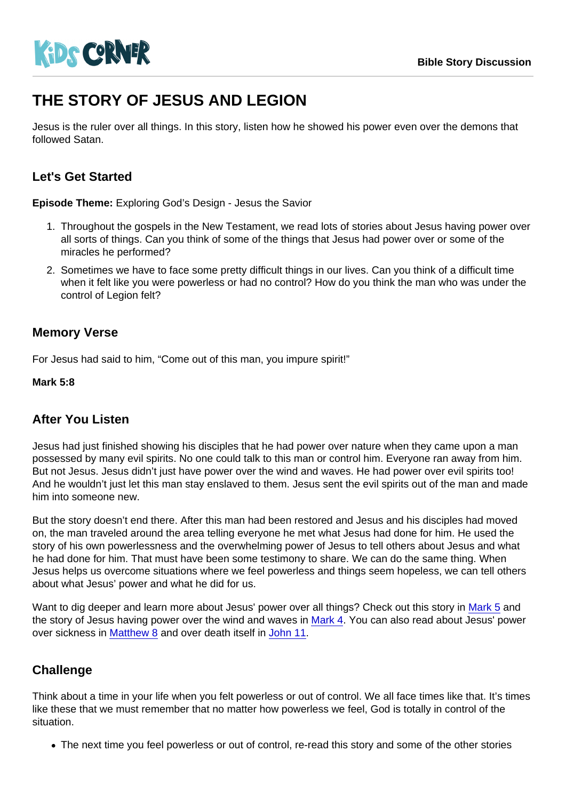# THE STORY OF JESUS AND LEGION

Jesus is the ruler over all things. In this story, listen how he showed his power even over the demons that followed Satan.

# Let's Get Started

Episode Theme: Exploring God's Design - Jesus the Savior

- 1. Throughout the gospels in the New Testament, we read lots of stories about Jesus having power over all sorts of things. Can you think of some of the things that Jesus had power over or some of the miracles he performed?
- 2. Sometimes we have to face some pretty difficult things in our lives. Can you think of a difficult time when it felt like you were powerless or had no control? How do you think the man who was under the control of Legion felt?

### Memory Verse

For Jesus had said to him, "Come out of this man, you impure spirit!"

Mark 5:8

#### After You Listen

Jesus had just finished showing his disciples that he had power over nature when they came upon a man possessed by many evil spirits. No one could talk to this man or control him. Everyone ran away from him. But not Jesus. Jesus didn't just have power over the wind and waves. He had power over evil spirits too! And he wouldn't just let this man stay enslaved to them. Jesus sent the evil spirits out of the man and made him into someone new.

But the story doesn't end there. After this man had been restored and Jesus and his disciples had moved on, the man traveled around the area telling everyone he met what Jesus had done for him. He used the story of his own powerlessness and the overwhelming power of Jesus to tell others about Jesus and what he had done for him. That must have been some testimony to share. We can do the same thing. When Jesus helps us overcome situations where we feel powerless and things seem hopeless, we can tell others about what Jesus' power and what he did for us.

Want to dig deeper and learn more about Jesus' power over all things? Check out this story in [Mark 5](https://www.biblegateway.com/passage/?search=Mark+5&version=NIV) and the story of Jesus having power over the wind and waves in [Mark 4](https://www.biblegateway.com/passage/?search=Mark+4&version=NIV). You can also read about Jesus' power over sickness in [Matthew 8](https://www.biblegateway.com/passage/?search=Matthew+8&version=NIV) and over death itself in [John 11.](https://www.biblegateway.com/passage/?search=John+11&version=NIV)

#### **Challenge**

Think about a time in your life when you felt powerless or out of control. We all face times like that. It's times like these that we must remember that no matter how powerless we feel, God is totally in control of the situation.

The next time you feel powerless or out of control, re-read this story and some of the other stories